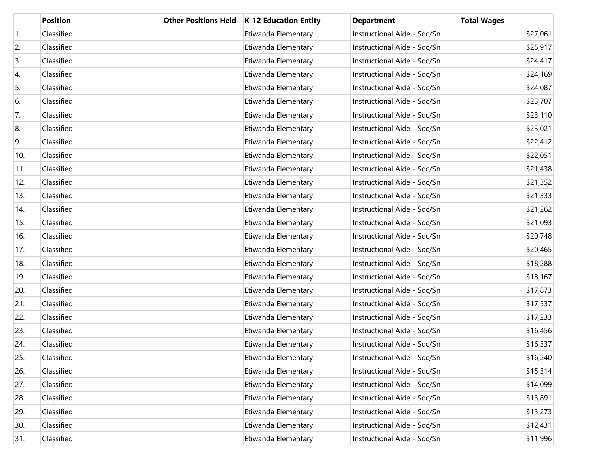|     | <b>Position</b> | <b>Other Positions Held</b> | K-12 Education Entity | <b>Department</b>           | <b>Total Wages</b> |
|-----|-----------------|-----------------------------|-----------------------|-----------------------------|--------------------|
| 1.  | Classified      |                             | Etiwanda Elementary   | Instructional Aide - Sdc/Sn | \$27,061           |
| 2.  | Classified      |                             | Etiwanda Elementary   | Instructional Aide - Sdc/Sn | \$25,917           |
| 3.  | Classified      |                             | Etiwanda Elementary   | Instructional Aide - Sdc/Sn | \$24,417           |
| 4.  | Classified      |                             | Etiwanda Elementary   | Instructional Aide - Sdc/Sn | \$24,169           |
| 5.  | Classified      |                             | Etiwanda Elementary   | Instructional Aide - Sdc/Sn | \$24,087           |
| 6.  | Classified      |                             | Etiwanda Elementary   | Instructional Aide - Sdc/Sn | \$23,707           |
| 7.  | Classified      |                             | Etiwanda Elementary   | Instructional Aide - Sdc/Sn | \$23,110           |
| 8.  | Classified      |                             | Etiwanda Elementary   | Instructional Aide - Sdc/Sn | \$23,021           |
| 9.  | Classified      |                             | Etiwanda Elementary   | Instructional Aide - Sdc/Sn | \$22,412           |
| 10. | Classified      |                             | Etiwanda Elementary   | Instructional Aide - Sdc/Sn | \$22,051           |
| 11. | Classified      |                             | Etiwanda Elementary   | Instructional Aide - Sdc/Sn | \$21,438           |
| 12. | Classified      |                             | Etiwanda Elementary   | Instructional Aide - Sdc/Sn | \$21,352           |
| 13. | Classified      |                             | Etiwanda Elementary   | Instructional Aide - Sdc/Sn | \$21,333           |
| 14. | Classified      |                             | Etiwanda Elementary   | Instructional Aide - Sdc/Sn | \$21,262           |
| 15. | Classified      |                             | Etiwanda Elementary   | Instructional Aide - Sdc/Sn | \$21,093           |
| 16. | Classified      |                             | Etiwanda Elementary   | Instructional Aide - Sdc/Sn | \$20,748           |
| 17. | Classified      |                             | Etiwanda Elementary   | Instructional Aide - Sdc/Sn | \$20,465           |
| 18. | Classified      |                             | Etiwanda Elementary   | Instructional Aide - Sdc/Sn | \$18,288           |
| 19. | Classified      |                             | Etiwanda Elementary   | Instructional Aide - Sdc/Sn | \$18,167           |
| 20. | Classified      |                             | Etiwanda Elementary   | Instructional Aide - Sdc/Sn | \$17,873           |
| 21. | Classified      |                             | Etiwanda Elementary   | Instructional Aide - Sdc/Sn | \$17,537           |
| 22. | Classified      |                             | Etiwanda Elementary   | Instructional Aide - Sdc/Sn | \$17,233           |
| 23. | Classified      |                             | Etiwanda Elementary   | Instructional Aide - Sdc/Sn | \$16,456           |
| 24. | Classified      |                             | Etiwanda Elementary   | Instructional Aide - Sdc/Sn | \$16,337           |
| 25. | Classified      |                             | Etiwanda Elementary   | Instructional Aide - Sdc/Sn | \$16,240           |
| 26. | Classified      |                             | Etiwanda Elementary   | Instructional Aide - Sdc/Sn | \$15,314           |
| 27. | Classified      |                             | Etiwanda Elementary   | Instructional Aide - Sdc/Sn | \$14,099           |
| 28. | Classified      |                             | Etiwanda Elementary   | Instructional Aide - Sdc/Sn | \$13,891           |
| 29. | Classified      |                             | Etiwanda Elementary   | Instructional Aide - Sdc/Sn | \$13,273           |
| 30. | Classified      |                             | Etiwanda Elementary   | Instructional Aide - Sdc/Sn | \$12,431           |
| 31. | Classified      |                             | Etiwanda Elementary   | Instructional Aide - Sdc/Sn | \$11,996           |